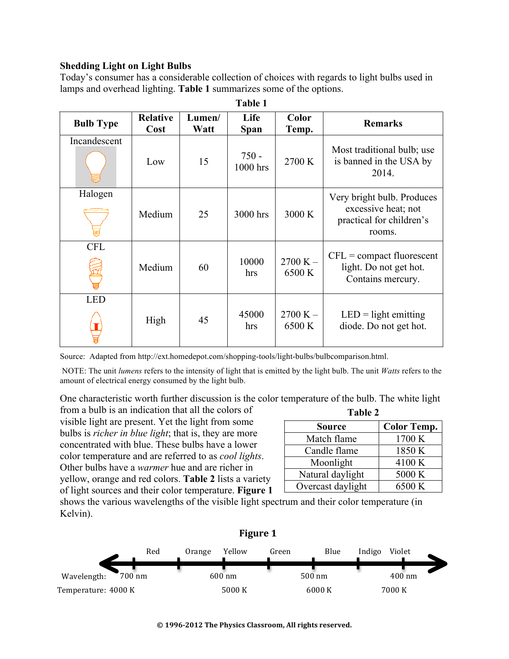## **Shedding Light on Light Bulbs**

Today's consumer has a considerable collection of choices with regards to light bulbs used in lamps and overhead lighting. **Table 1** summarizes some of the options.

| <b>Bulb Type</b> | <b>Relative</b><br>Cost | Lumen/<br>Watt | Life<br><b>Span</b> | <b>Color</b><br>Temp. | <b>Remarks</b>                                                                          |
|------------------|-------------------------|----------------|---------------------|-----------------------|-----------------------------------------------------------------------------------------|
| Incandescent     | Low                     | 15             | $750 -$<br>1000 hrs | 2700 K                | Most traditional bulb; use<br>is banned in the USA by<br>2014.                          |
| Halogen          | Medium                  | 25             | 3000 hrs            | 3000 K                | Very bright bulb. Produces<br>excessive heat; not<br>practical for children's<br>rooms. |
| <b>CFL</b>       | Medium                  | 60             | 10000<br>hrs        | $2700 K -$<br>6500 K  | $CFL = compact fluorescent$<br>light. Do not get hot.<br>Contains mercury.              |
| <b>LED</b>       | High                    | 45             | 45000<br>hrs        | $2700 K -$<br>6500 K  | $LED = light$ emitting<br>diode. Do not get hot.                                        |

**Table 1**

Source: Adapted from http://ext.homedepot.com/shopping-tools/light-bulbs/bulbcomparison.html.

 NOTE: The unit *lumens* refers to the intensity of light that is emitted by the light bulb. The unit *Watts* refers to the amount of electrical energy consumed by the light bulb.

One characteristic worth further discussion is the color temperature of the bulb. The white light from a bulb is an indication that all the colors of **Table 2**

visible light are present. Yet the light from some bulbs is *richer in blue light*; that is, they are more concentrated with blue. These bulbs have a lower color temperature and are referred to as *cool lights*. Other bulbs have a *warmer* hue and are richer in yellow, orange and red colors. **Table 2** lists a variety of light sources and their color temperature. **Figure 1**

| 1 AU L            |                    |  |  |  |
|-------------------|--------------------|--|--|--|
| <b>Source</b>     | <b>Color Temp.</b> |  |  |  |
| Match flame       | 1700 K             |  |  |  |
| Candle flame      | 1850 K             |  |  |  |
| Moonlight         | 4100 K             |  |  |  |
| Natural daylight  | 5000 K             |  |  |  |
| Overcast daylight | 6500 K             |  |  |  |

shows the various wavelengths of the visible light spectrum and their color temperature (in Kelvin).

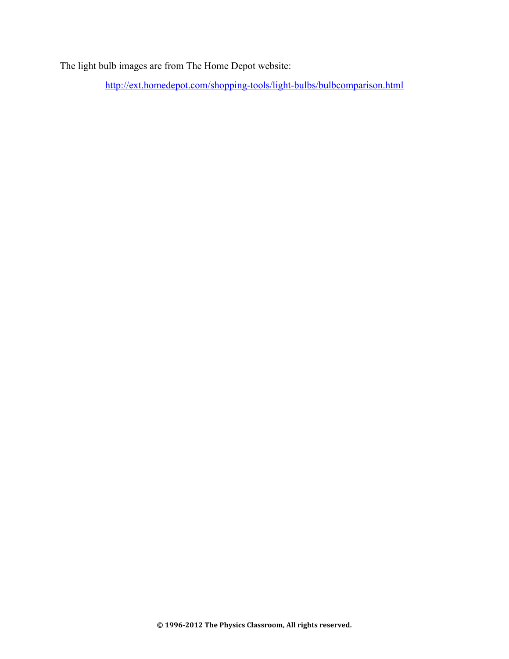The light bulb images are from The Home Depot website:

http://ext.homedepot.com/shopping-tools/light-bulbs/bulbcomparison.html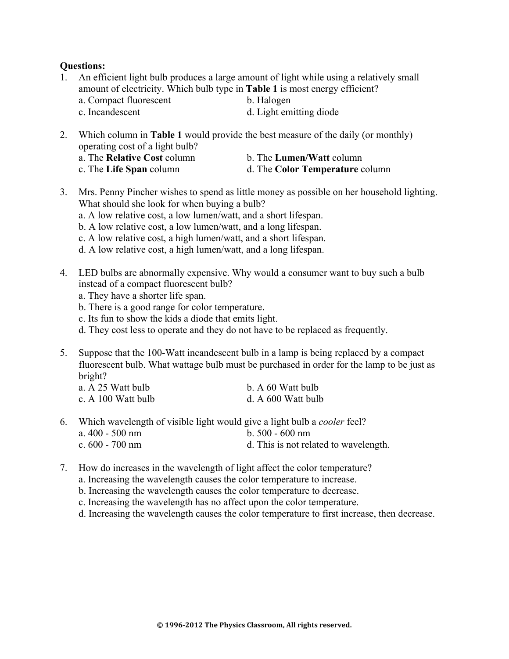## **Questions:**

- 1. An efficient light bulb produces a large amount of light while using a relatively small amount of electricity. Which bulb type in **Table 1** is most energy efficient? a. Compact fluorescent b. Halogen c. Incandescent d. Light emitting diode
- 2. Which column in **Table 1** would provide the best measure of the daily (or monthly) operating cost of a light bulb? a. The **Relative Cost** column b. The **Lumen/Watt** column

c. The **Life Span** column d. The **Color Temperature** column

- 3. Mrs. Penny Pincher wishes to spend as little money as possible on her household lighting. What should she look for when buying a bulb?
	- a. A low relative cost, a low lumen/watt, and a short lifespan.
	- b. A low relative cost, a low lumen/watt, and a long lifespan.
	- c. A low relative cost, a high lumen/watt, and a short lifespan.
	- d. A low relative cost, a high lumen/watt, and a long lifespan.
- 4. LED bulbs are abnormally expensive. Why would a consumer want to buy such a bulb instead of a compact fluorescent bulb?
	- a. They have a shorter life span.
	- b. There is a good range for color temperature.
	- c. Its fun to show the kids a diode that emits light.
	- d. They cost less to operate and they do not have to be replaced as frequently.
- 5. Suppose that the 100-Watt incandescent bulb in a lamp is being replaced by a compact fluorescent bulb. What wattage bulb must be purchased in order for the lamp to be just as bright?

| a. A 25 Watt bulb  | b. A 60 Watt bulb  |
|--------------------|--------------------|
| c. A 100 Watt bulb | d. A 600 Watt bulb |

- 6. Which wavelength of visible light would give a light bulb a *cooler* feel? a. 400 - 500 nm b. 500 - 600 nm c. 600 - 700 nm d. This is not related to wavelength.
- 7. How do increases in the wavelength of light affect the color temperature?
	- a. Increasing the wavelength causes the color temperature to increase.
	- b. Increasing the wavelength causes the color temperature to decrease.
	- c. Increasing the wavelength has no affect upon the color temperature.
	- d. Increasing the wavelength causes the color temperature to first increase, then decrease.